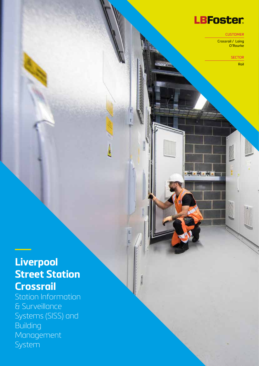# **LBFoster**

 $\mathbf{z} = \mathbf{z}$  , where  $\mathbf{z}$ 

**CUSTOMER** 

Crossrail / Laing O'Rourke

**SECTOR** 

Rail

# **Liverpool Street Station Crossrail**

Station Information & Surveillance Systems (SISS) and **Building** Management System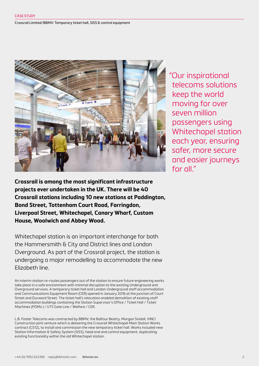#### Crossrail Limited/BBMV: Temporary ticket hall, SISS & control equipment



"Our inspirational telecoms solutions keep the world moving for over seven million passengers using Whitechapel station each year, ensuring safer, more secure and easier journeys for all."

**Crossrail is among the most significant infrastructure projects ever undertaken in the UK. There will be 40 Crossrail stations including 10 new stations at Paddington, Bond Street, Tottenham Court Road, Farringdon, Liverpool Street, Whitechapel, Canary Wharf, Custom House, Woolwich and Abbey Wood.**

Whitechapel station is an important interchange for both the Hammersmith & City and District lines and London Overground. As part of the Crossrail project, the station is undergoing a major remodelling to accommodate the new Elizabeth line.

An interim station re-routes passengers out of the station to ensure future engineering works take place in a safe environment with minimal disruption to the existing Underground and Overground services. A temporary ticket hall and London Underground staff accommodation and Communications Equipment Room (CER) opened in January 2016 at the junction of Court Street and Durward Street. The ticket hall's relocation enabled demolition of existing staff accommodation buildings containing the Station Supervisor's Office / Ticket Hall / Ticket Machines (POMs ) / UTS Gate Line / Welfare / CER.

L.B. Foster Telecoms was contracted by BBMV, the Balfour Beatty, Morgan Sindall, VINCI Construction joint venture which is delivering the Crossrail Whitechapel Main Station Works contract (C512), to install and commission the new temporary ticket hall. Works included new Station Information & Safety System (SISS), head end and control equipment, duplicating existing functionality within the old Whitechapel station.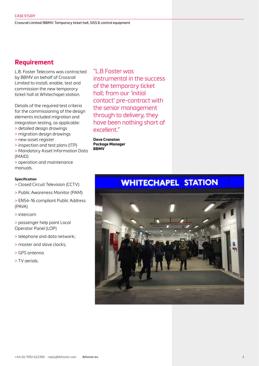Crossrail Limited/BBMV: Temporary ticket hall, SISS & control equipment

## **Requirement**

L.B. Foster Telecoms was contracted by BBMV on behalf of Crossrail Limited to install, enable, test and commission the new temporary ticket hall at Whitechapel station.

Details of the required test criteria for the commissioning of the design elements included migration and integration testing, as applicable: > detailed design drawings

- > migration design drawings
- 
- > new asset register
- > inspection and test plans (ITP)

> Mandatory Asset Information Data (MAID)

> operation and maintenance manuals.

#### **Specification**

- > Closed Circuit Television (CCTV)
- > Public Awareness Monitor (PAM)
- > EN54-16 compliant Public Address (PAVA)
- > intercom
- > passenger help point Local Operator Panel (LOP)
- > telephone and data network;
- > master and slave clocks;
- > GPS antenna
- > TV aerials.

"L.B Foster was instrumental in the success of the temporary ticket hall; from our 'initial contact' pre-contract with the senior management through to delivery, they have been nothing short of excellent"

**Dave Cranston Package Manager BBMV**

# **WHITECHAPEL STATION**